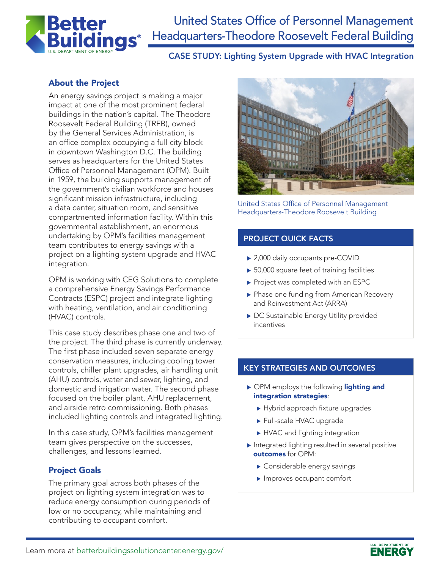

# United States Office of Personnel Management Headquarters-Theodore Roosevelt Federal Building

CASE STUDY: Lighting System Upgrade with HVAC Integration

### About the Project

An energy savings project is making a major impact at one of the most prominent federal buildings in the nation's capital. The Theodore Roosevelt Federal Building (TRFB), owned by the General Services Administration, is an office complex occupying a full city block in downtown Washington D.C. The building serves as headquarters for the United States Office of Personnel Management (OPM). Built in 1959, the building supports management of the government's civilian workforce and houses significant mission infrastructure, including a data center, situation room, and sensitive compartmented information facility. Within this governmental establishment, an enormous undertaking by OPM's facilities management team contributes to energy savings with a project on a lighting system upgrade and HVAC integration.

OPM is working with CEG Solutions to complete a comprehensive Energy Savings Performance Contracts (ESPC) project and integrate lighting with heating, ventilation, and air conditioning (HVAC) controls.

This case study describes phase one and two of the project. The third phase is currently underway. The first phase included seven separate energy conservation measures, including cooling tower controls, chiller plant upgrades, air handling unit (AHU) controls, water and sewer, lighting, and domestic and irrigation water. The second phase focused on the boiler plant, AHU replacement, and airside retro commissioning. Both phases included lighting controls and integrated lighting.

In this case study, OPM's facilities management team gives perspective on the successes, challenges, and lessons learned.

#### Project Goals

The primary goal across both phases of the project on lighting system integration was to reduce energy consumption during periods of low or no occupancy, while maintaining and contributing to occupant comfort.



United States Office of Personnel Management Headquarters-Theodore Roosevelt Building

#### PROJECT QUICK FACTS

- ▶ 2,000 daily occupants pre-COVID
- $\triangleright$  50,000 square feet of training facilities
- $\blacktriangleright$  Project was completed with an ESPC
- ▶ Phase one funding from American Recovery and Reinvestment Act (ARRA)
- ▶ DC Sustainable Energy Utility provided incentives

#### KEY STRATEGIES AND OUTCOMES

- ▶ OPM employs the following lighting and integration strategies:
	- $\blacktriangleright$  Hybrid approach fixture upgrades
	- Full-scale HVAC upgrade
	- HVAC and lighting integration
- $\blacktriangleright$  Integrated lighting resulted in several positive outcomes for OPM:
	- $\blacktriangleright$  Considerable energy savings
	- $\blacktriangleright$  Improves occupant comfort

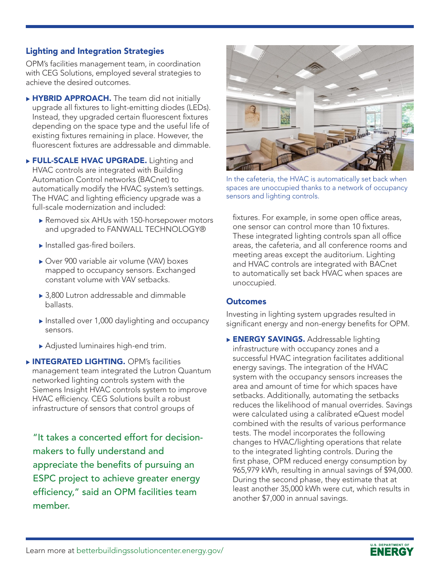#### Lighting and Integration Strategies

OPM's facilities management team, in coordination with CEG Solutions, employed several strategies to achieve the desired outcomes.

▶ HYBRID APPROACH. The team did not initially upgrade all fixtures to light-emitting diodes (LEDs). Instead, they upgraded certain fluorescent fixtures depending on the space type and the useful life of existing fixtures remaining in place. However, the fluorescent fixtures are addressable and dimmable.

**FULL-SCALE HVAC UPGRADE.** Lighting and HVAC controls are integrated with Building Automation Control networks (BACnet) to automatically modify the HVAC system's settings. The HVAC and lighting efficiency upgrade was a full-scale modernization and included:

- ▶ Removed six AHUs with 150-horsepower motors and upgraded to FANWALL TECHNOLOGY®
- $\blacktriangleright$  Installed gas-fired boilers.
- ▶ Over 900 variable air volume (VAV) boxes mapped to occupancy sensors. Exchanged constant volume with VAV setbacks.
- $\rightarrow$  3,800 Lutron addressable and dimmable ballasts.
- $\blacktriangleright$  Installed over 1,000 daylighting and occupancy sensors.
- $\blacktriangleright$  Adjusted luminaires high-end trim.

**NINTEGRATED LIGHTING.** OPM's facilities management team integrated the Lutron Quantum networked lighting controls system with the Siemens Insight HVAC controls system to improve HVAC efficiency. CEG Solutions built a robust infrastructure of sensors that control groups of

"It takes a concerted effort for decisionmakers to fully understand and appreciate the benefits of pursuing an ESPC project to achieve greater energy efficiency," said an OPM facilities team member.



In the cafeteria, the HVAC is automatically set back when spaces are unoccupied thanks to a network of occupancy sensors and lighting controls.

fixtures. For example, in some open office areas, one sensor can control more than 10 fixtures. These integrated lighting controls span all office areas, the cafeteria, and all conference rooms and meeting areas except the auditorium. Lighting and HVAC controls are integrated with BACnet to automatically set back HVAC when spaces are unoccupied.

#### **Outcomes**

Investing in lighting system upgrades resulted in significant energy and non-energy benefits for OPM.

**ENERGY SAVINGS.** Addressable lighting infrastructure with occupancy zones and a successful HVAC integration facilitates additional energy savings. The integration of the HVAC system with the occupancy sensors increases the area and amount of time for which spaces have setbacks. Additionally, automating the setbacks reduces the likelihood of manual overrides. Savings were calculated using a calibrated eQuest model combined with the results of various performance tests. The model incorporates the following changes to HVAC/lighting operations that relate to the integrated lighting controls. During the first phase, OPM reduced energy consumption by 965,979 kWh, resulting in annual savings of \$94,000. During the second phase, they estimate that at least another 35,000 kWh were cut, which results in another \$7,000 in annual savings.